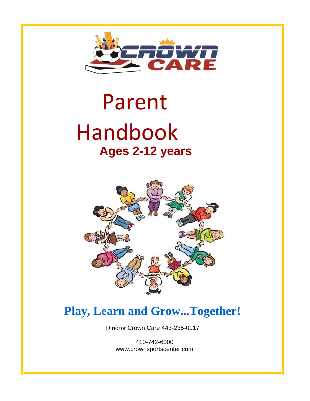

# Parent Handbook **Ages 2-12 years**



# **Play, Learn and Grow...Together!**

Director Crown Care 443-235-0117

410-742-6000 [www.crownsportscenter.com](http://www.crownsportscenter.com/)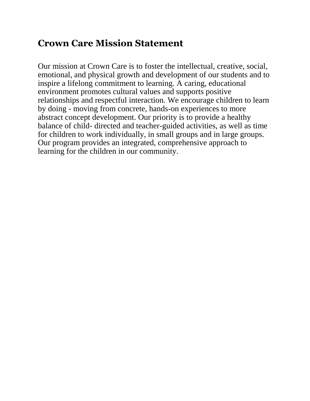## **Crown Care Mission Statement**

Our mission at Crown Care is to foster the intellectual, creative, social, emotional, and physical growth and development of our students and to inspire a lifelong commitment to learning. A caring, educational environment promotes cultural values and supports positive relationships and respectful interaction. We encourage children to learn by doing - moving from concrete, hands-on experiences to more abstract concept development. Our priority is to provide a healthy balance of child- directed and teacher-guided activities, as well as time for children to work individually, in small groups and in large groups. Our program provides an integrated, comprehensive approach to learning for the children in our community.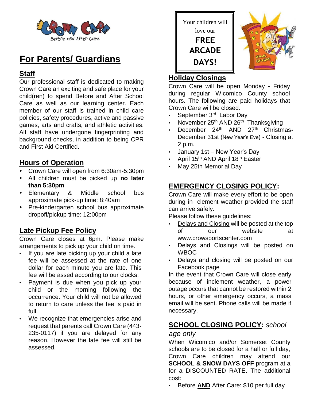

## **For Parents/ Guardians**

#### **Staff**

Our professional staff is dedicated to making Crown Care an exciting and safe place for your child(ren) to spend Before and After School Care as well as our learning center. Each member of our staff is trained in child care policies, safety procedures, active and passive games, arts and crafts, and athletic activities. All staff have undergone fingerprinting and background checks, in addition to being CPR and First Aid Certified.

#### **Hours of Operation**

- Crown Care will open from 6:30am-5:30pm
- All children must be picked up **no later than 5:30pm**
- Elementary & Middle school bus approximate pick-up time: 8:40am
- Pre-kindergarten school bus approximate dropoff/pickup time: 12:00pm

#### **Late Pickup Fee Policy**

Crown Care closes at 6pm. Please make arrangements to pick up your child on time.

- If you are late picking up your child a late fee will be assessed at the rate of one dollar for each minute you are late. This fee will be assed according to our clocks.
- Payment is due when you pick up your child or the morning following the occurrence. Your child will not be allowed to return to care unless the fee is paid in full.
- We recognize that emergencies arise and request that parents call Crown Care (443- 235-0117) if you are delayed for any reason. However the late fee will still be assessed.





#### **Holiday Closings**

Crown Care will be open Monday - Friday during regular Wicomico County school hours. The following are paid holidays that Crown Care will be closed.

- September 3<sup>rd</sup> Labor Day
- November 25<sup>th</sup> AND 26<sup>th</sup> Thanksgiving
- December 24<sup>th</sup> AND 27<sup>th</sup> Christmas. December 31st (New Year's Eve) - Closing at 2 p.m.
- January 1st New Year's Day
- April 15th AND April 18th Easter
- May 25th Memorial Day

#### **EMERGENCY CLOSING POLICY:**

Crown Care will make every effort to be open during in- clement weather provided the staff can arrive safely.

Please follow these guidelines:

- Delays and Closing will be posted at the top of our website [at](http://www.crowsportscenter.com/)  [www.crowsportscenter.com](http://www.crowsportscenter.com/)
- Delays and Closings will be posted on WBOC
- Delays and closing will be posted on our Facebook page

In the event that Crown Care will close early because of inclement weather, a power outage occurs that cannot be restored within 2 hours, or other emergency occurs, a mass email will be sent. Phone calls will be made if necessary.

# **SCHOOL CLOSING POLICY:** *school*

#### *age only*

When Wicomico and/or Somerset County schools are to be closed for a half or full day, Crown Care children may attend our **SCHOOL & SNOW DAYS OFF program at a** for a DISCOUNTED RATE. The additional cost:

• Before **AND** After Care: \$10 per full day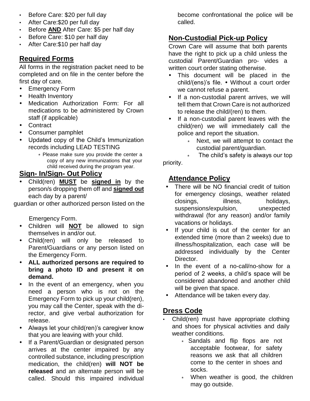- Before Care: \$20 per full day
- After Care:\$20 per full day
- Before **AND** After Care: \$5 per half day
- Before Care: \$10 per half day
- After Care:\$10 per half day

#### **Required Forms**

All forms in the registration packet need to be completed and on file in the center before the first day of care.

- Emergency Form
- Health Inventory
- Medication Authorization Form: For all medications to be administered by Crown staff (if applicable)
- Contract
- Consumer pamphlet
- Updated copy of the Child's Immunization records including LEAD TESTING
	- ∗ Please make sure you provide the center a copy of any new immunizations that your child received during the program year.

#### **Sign- In/Sign- Out Policy**

 Child(ren) **MUST** be **signed in** by the person/s dropping them off and **signed out** each day by a parent/

guardian or other authorized person listed on the

Emergency Form.

- Children will **NOT** be allowed to sign themselves in and/or out.
- Child(ren) will only be released to Parent/Guardians or any person listed on the Emergency Form.
- **ALL authorized persons are required to bring a photo ID and present it on demand.**
- In the event of an emergency, when you need a person who is not on the Emergency Form to pick up your child(ren), you may call the Center, speak with the director, and give verbal authorization for release.
- Always let your child(ren)'s caregiver know that you are leaving with your child.
- If a Parent/Guardian or designated person arrives at the center impaired by any controlled substance, including prescription medication, the child(ren) **will NOT be released** and an alternate person will be called. Should this impaired individual

become confrontational the police will be called.

### **Non-Custodial Pick-up Policy**

Crown Care will assume that both parents have the right to pick up a child unless the custodial Parent/Guardian pro- vides a written court order stating otherwise.

- This document will be placed in the child/(ens)'s file. Without a court order we cannot refuse a parent.
- If a non-custodial parent arrives, we will tell them that Crown Care is not authorized to release the child/(ren) to them.
- If a non-custodial parent leaves with the child(ren) we will immediately call the police and report the situation.
	- ∗ Next, we will attempt to contact the custodial parent/guardian.

The child's safety is always our top priority.

#### **Attendance Policy**

- There will be NO financial credit of tuition for emergency closings, weather related closings, illness, holidays, suspensions/expulsion, unexpected withdrawal (for any reason) and/or family vacations or holidays.
- If your child is out of the center for an extended time (more than 2 weeks) due to illness/hospitalization, each case will be addressed individually by the Center Director.
- In the event of a no-call/no-show for a period of 2 weeks, a child's space will be considered abandoned and another child will be given that space.
- Attendance will be taken every day.

#### **Dress Code**

- Child(ren) must have appropriate clothing and shoes for physical activities and daily weather conditions.
	- ∗ Sandals and flip flops are not acceptable footwear, for safety reasons we ask that all children come to the center in shoes and socks.
	- When weather is good, the children may go outside.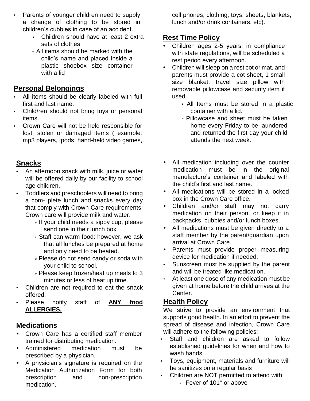- Parents of younger children need to supply a change of clothing to be stored in children's cubbies in case of an accident.
	- ∗ Children should have at least 2 extra sets of clothes
	- ∗ All items should be marked with the child's name and placed inside a plastic shoebox size container with a lid

#### **Personal Belongings**

- All items should be clearly labeled with full first and last name.
- Child/ren should not bring toys or personal items.
- Crown Care will not be held responsible for lost, stolen or damaged items ( example: mp3 players, Ipods, hand-held video games,

#### **Snacks**

- An afternoon snack with milk, juice or water will be offered daily by our facility to school age children.
- Toddlers and preschoolers will need to bring a com- plete lunch and snacks every day that comply with Crown Care requirements: Crown care will provide milk and water.
	- ∗ If your child needs a sippy cup, please send one in their lunch box.
	- ∗ Staff can warm food: however, we ask that all lunches be prepared at home and only need to be heated.
	- ∗ Please do not send candy or soda with your child to school.
	- ∗ Please keep frozen/heat up meals to 3 minutes or less of heat up time.
- Children are not required to eat the snack offered.
- Please notify staff of **ANY food ALLERGIES.**

#### **Medications**

- Crown Care has a certified staff member trained for distributing medication.
- Administered medication must be prescribed by a physician.
- A physician's signature is required on the Medication Authorization Form for both prescription and non-prescription medication.

cell phones, clothing, toys, sheets, blankets, lunch and/or drink containers, etc).

#### **Rest Time Policy**

- Children ages 2-5 years, in compliance with state regulations, will be scheduled a rest period every afternoon.
- Children will sleep on a rest cot or mat, and parents must provide a cot sheet, 1 small size blanket, travel size pillow with removable pillowcase and security item if used.
	- ∗ All Items must be stored in a plastic container with a lid.
	- ∗ Pillowcase and sheet must be taken home every Friday to be laundered and returned the first day your child attends the next week.
- All medication including over the counter medication must be in the original manufacture's container and labeled with the child's first and last name.
- All medications will be stored in a locked box in the Crown Care office.
- Children and/or staff may not carry medication on their person, or keep it in backpacks, cubbies and/or lunch boxes.
- All medications must be given directly to a staff member by the parent/guardian upon arrival at Crown Care.
- Parents must provide proper measuring device for medication if needed.
- Sunscreen must be supplied by the parent and will be treated like medication.
- At least one dose of any medication must be given at home before the child arrives at the Center.

#### **Health Policy**

We strive to provide an environment that supports good health. In an effort to prevent the spread of disease and infection, Crown Care will adhere to the following policies:

- Staff and children are asked to follow established guidelines for when and how to wash hands
- Toys, equipment, materials and furniture will be sanitizes on a regular basis
- Children are NOT permitted to attend with: ∗ Fever of 101° or above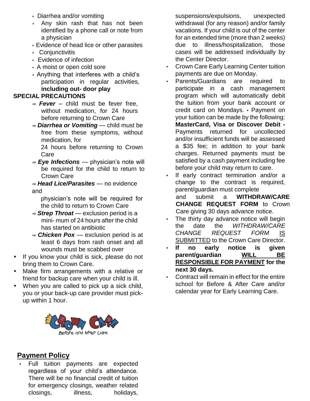- ∗ Diarrhea and/or vomiting
- ∗ Any skin rash that has not been identified by a phone call or note from a physician
- ∗ Evidence of head lice or other parasites
- ∗ Conjunctivitis
- ∗ Evidence of infection
- ∗ A moist or open cold sore
- ∗ Anything that interferes with a child's participation in regular activities, **including out- door play**

#### **SPECIAL PRECAUTIONS**

- ⇒ *Fever*  child must be fever free, without medication, for 24 hours before returning to Crown Care
- ⇒ *Diarrhea or Vomiting*  child must be free from these symptoms, without medication, for 24 hours before returning to Crown

Care

⇒ *Eye Infections* — physician's note will be required for the child to return to Crown Care

⇒ *Head Lice/Parasites* — no evidence and

physician's note will be required for the child to return to Crown Care

- ⇒ *Strep Throat*  exclusion period is a mini- mum of 24 hours after the child has started on antibiotic
- ⇒ *Chicken Pox*  exclusion period is at least 6 days from rash onset and all wounds must be scabbed over
- If you know your child is sick, please do not bring them to Crown Care.
- Make firm arrangements with a relative or friend for backup care when your child is ill.
- When you are called to pick up a sick child, you or your back-up care provider must pickup within 1 hour.



#### **Payment Policy**

Full tuition payments are expected regardless of your child's attendance. There will be no financial credit of tuition for emergency closings, weather related closings, illness, holidays,

suspensions/expulsions, unexpected withdrawal (for any reason) and/or family vacations. If your child is out of the center for an extended time (more than 2 weeks) due to illness/hospitalization, those cases will be addressed individually by the Center Director.

- Crown Care Early Learning Center tuition payments are due on Monday.
- Parents/Guardians are required to participate in a cash management program which will automatically debit the tuition from your bank account or credit card on Mondays. • Payment on your tuition can be made by the following: **MasterCard, Visa or Discover Debit** • Payments returned for uncollected and/or insufficient funds will be assessed a \$35 fee; in addition to your bank charges. Returned payments must be satisfied by a cash payment including fee before your child may return to care.
- If early contract termination and/or a change to the contract is required, parent/guardian must complete
	- and submit a **WITHDRAW/CARE CHANGE REQUEST FORM** to Crown Care giving 30 days advance notice.
- The thirty day advance notice will begin the date the *WITHDRAW/CARE CHANGE REQUEST FORM* IS SUBMITTED to the Crown Care Director.
- **If no early notice is given parent/guardian WILL BE RESPONSIBLE FOR PAYMENT for the next 30 days.**
- Contract will remain in effect for the entire school for Before & After Care and/or calendar year for Early Learning Care.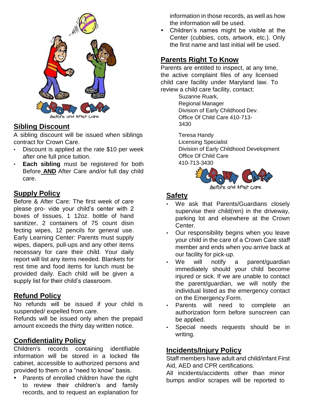

#### **Sibling Discount**

A sibling discount will be issued when siblings contract for Crown Care.

- Discount is applied at the rate \$10 per week after one full price tuition.
- **Each sibling** must be registered for both Before **AND** After Care and/or full day child care.

#### **Supply Policy**

Before & After Care: The first week of care please pro- vide your child's center with 2 boxes of tissues, 1 12oz. bottle of hand sanitizer, 2 containers of 75 count disin fecting wipes, 12 pencils for general use. Early Learning Center: Parents must supply wipes, diapers, pull-ups and any other items necessary for care their child. Your daily report will list any items needed. Blankets for rest time and food items for lunch must be provided daily. Each child will be given a supply list for their child's classroom.

#### **Refund Policy**

No refunds will be issued if your child is suspended/ expelled from care.

Refunds will be issued only when the prepaid amount exceeds the thirty day written notice.

#### **Confidentiality Policy**

Children's records containing identifiable information will be stored in a locked file cabinet, accessible to authorized persons and provided to them on a "need to know" basis.

• Parents of enrolled children have the right to review their children's and family records, and to request an explanation for

information in those records, as well as how the information will be used.

 Children's names might be visible at the Center (cubbies, cots, artwork, etc.). Only the first name and last initial will be used.

#### **Parents Right To Know**

Parents are entitled to inspect, at any time, the active complaint files of any licensed child care facility under Maryland law. To review a child care facility, contact:

> Suzanne Ruark, Regional Manager Division of Early Childhood Dev. Office Of Child Care 410-713- 3430

Teresa Handy

Licensing Specialist Division of Early Childhood Development Office Of Child Care 410-713-3430



#### **Safety**

- We ask that Parents/Guardians closely supervise their child(ren) in the driveway, parking lot and elsewhere at the Crown Center.
- Our responsibility begins when you leave your child in the care of a Crown Care staff member and ends when you arrive back at our facility for pick-up.
- We will notify a parent/quardian immediately should your child become injured or sick. If we are unable to contact the parent/guardian, we will notify the individual listed as the emergency contact on the Emergency Form.
- Parents will need to complete an authorization form before sunscreen can be applied.
- Special needs requests should be in writing.

#### **Incidents/Injury Policy**

Staff members have adult and child/infant First Aid, AED and CPR certifications.

All incidents/accidents other than minor bumps and/or scrapes will be reported to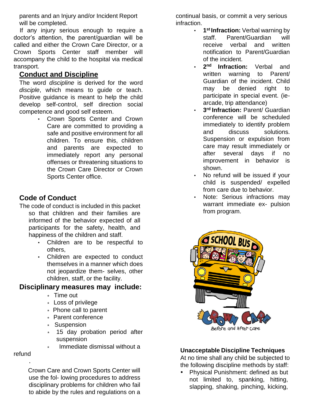parents and an Injury and/or Incident Report will be completed.

If any injury serious enough to require a doctor's attention, the parent/guardian will be called and either the Crown Care Director, or a Crown Sports Center staff member will accompany the child to the hospital via medical transport.

#### **Conduct and Discipline**

The word *discipline* is derived for the word *disciple*, which means to guide or teach. Positive guidance is meant to help the child develop self-control, self direction social competence and good self esteem.

> • Crown Sports Center and Crown Care are committed to providing a safe and positive environment for all children. To ensure this, children and parents are expected to immediately report any personal offenses or threatening situations to the Crown Care Director or Crown Sports Center office.

#### **Code of Conduct**

The code of conduct is included in this packet so that children and their families are informed of the behavior expected of all participants for the safety, health, and happiness of the children and staff.

- Children are to be respectful to others,
- Children are expected to conduct themselves in a manner which does not jeopardize them- selves, other children, staff, or the facility.

#### **Disciplinary measures may include:**

- ∗ Time out
- ∗ Loss of privilege
- ∗ Phone call to parent
- ∗ Parent conference
- ∗ Suspension
- ∗ 15 day probation period after suspension
- ∗ Immediate dismissal without a

#### refund

·

Crown Care and Crown Sports Center will use the fol- lowing procedures to address disciplinary problems for children who fail to abide by the rules and regulations on a continual basis, or commit a very serious infraction.

- **1 st Infraction:** Verbal warning by staff. Parent/Guardian will receive verbal and written notification to Parent/Guardian of the incident.
- **2 nd Infraction:** Verbal and written warning to Parent/ Guardian of the incident. Child may be denied right to participate in special event. (iearcade, trip attendance)
- **3 rd Infraction:** Parent/ Guardian conference will be scheduled immediately to identify problem and discuss solutions. Suspension or expulsion from care may result immediately or after several days if no improvement in behavior is shown.
- No refund will be issued if your child is suspended/ expelled from care due to behavior.
- Note: Serious infractions may warrant immediate ex- pulsion from program.



#### **Unacceptable Discipline Techniques**

At no time shall any child be subjected to the following discipline methods by staff:

• Physical Punishment: defined as but not limited to, spanking, hitting, slapping, shaking, pinching, kicking,